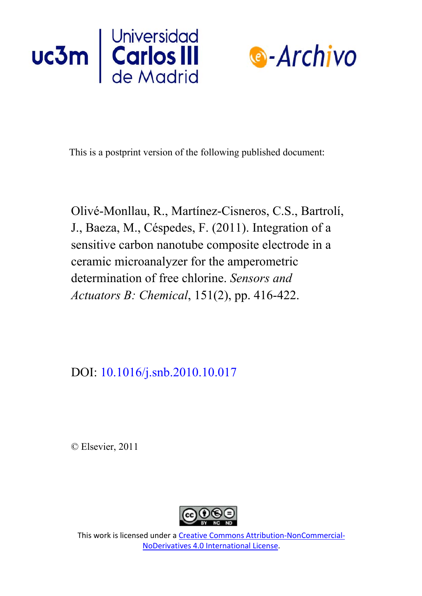



This is a postprint version of the following published document:

Olivé-Monllau, R., Martínez-Cisneros, C.S., Bartrolí, J., Baeza, M., Céspedes, F. (2011). Integration of a sensitive carbon nanotube composite electrode in a ceramic microanalyzer for the amperometric determination of free chlorine. *Sensors and Actuators B: Chemical*, 151(2), pp. 416-422.

DOI: [10.1016/j.snb.2010.10.017](https://doi.org/10.1016/j.snb.2010.10.017)

© Elsevier, 2011



This work is licensed under a Creative Commons Attribution-NonCommercial-NoDerivatives 4.0 International License.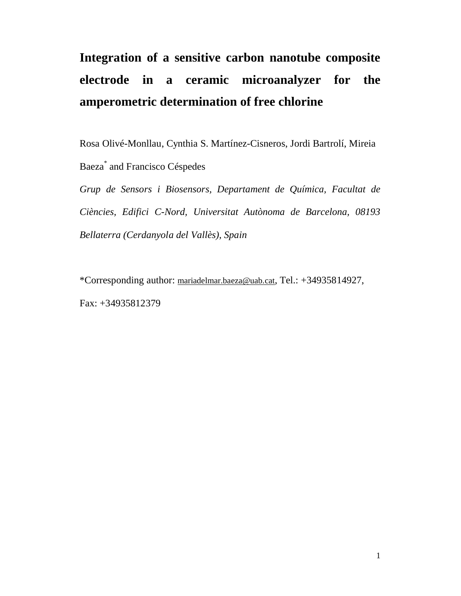# **Integration of a sensitive carbon nanotube composite electrode in a ceramic microanalyzer for the amperometric determination of free chlorine**

Rosa Olivé-Monllau, Cynthia S. Martínez-Cisneros, Jordi Bartrolí, Mireia

Baeza\* and Francisco Céspedes

*Grup de Sensors i Biosensors, Departament de Química, Facultat de Ciències, Edifici C-Nord, Universitat Autònoma de Barcelona, 08193 Bellaterra (Cerdanyola del Vallès), Spain*

\*Corresponding author: mariadelmar.baeza@uab.cat, Tel.: +34935814927, Fax: +34935812379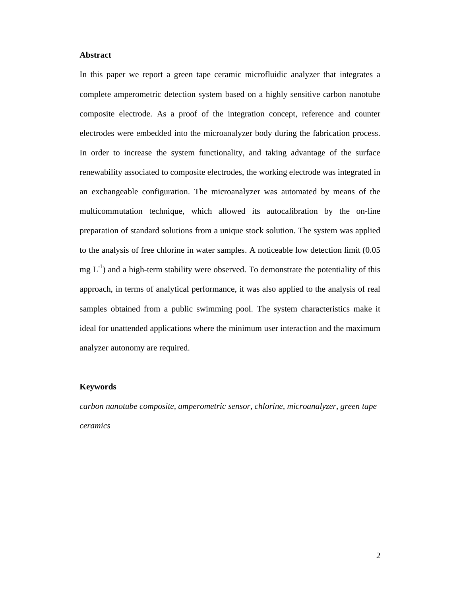#### **Abstract**

In this paper we report a green tape ceramic microfluidic analyzer that integrates a complete amperometric detection system based on a highly sensitive carbon nanotube composite electrode. As a proof of the integration concept, reference and counter electrodes were embedded into the microanalyzer body during the fabrication process. In order to increase the system functionality, and taking advantage of the surface renewability associated to composite electrodes, the working electrode was integrated in an exchangeable configuration. The microanalyzer was automated by means of the multicommutation technique, which allowed its autocalibration by the on-line preparation of standard solutions from a unique stock solution. The system was applied to the analysis of free chlorine in water samples. A noticeable low detection limit (0.05  $mg L<sup>-1</sup>$ ) and a high-term stability were observed. To demonstrate the potentiality of this approach, in terms of analytical performance, it was also applied to the analysis of real samples obtained from a public swimming pool. The system characteristics make it ideal for unattended applications where the minimum user interaction and the maximum analyzer autonomy are required.

# **Keywords**

*carbon nanotube composite, amperometric sensor, chlorine, microanalyzer, green tape ceramics*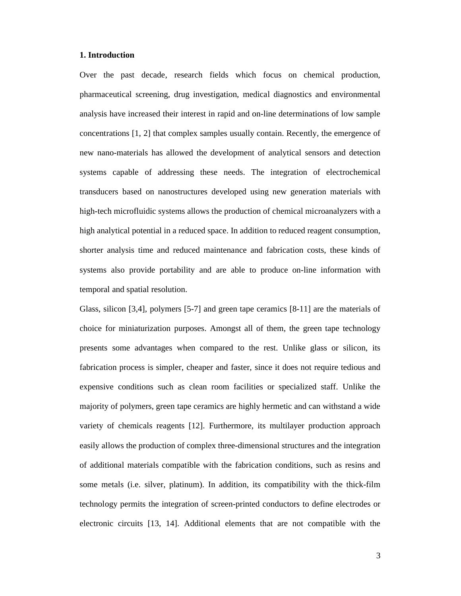#### **1. Introduction**

Over the past decade, research fields which focus on chemical production, pharmaceutical screening, drug investigation, medical diagnostics and environmental analysis have increased their interest in rapid and on-line determinations of low sample concentrations [1, 2] that complex samples usually contain. Recently, the emergence of new nano-materials has allowed the development of analytical sensors and detection systems capable of addressing these needs. The integration of electrochemical transducers based on nanostructures developed using new generation materials with high-tech microfluidic systems allows the production of chemical microanalyzers with a high analytical potential in a reduced space. In addition to reduced reagent consumption, shorter analysis time and reduced maintenance and fabrication costs, these kinds of systems also provide portability and are able to produce on-line information with temporal and spatial resolution.

Glass, silicon [3,4], polymers [5-7] and green tape ceramics [8-11] are the materials of choice for miniaturization purposes. Amongst all of them, the green tape technology presents some advantages when compared to the rest. Unlike glass or silicon, its fabrication process is simpler, cheaper and faster, since it does not require tedious and expensive conditions such as clean room facilities or specialized staff. Unlike the majority of polymers, green tape ceramics are highly hermetic and can withstand a wide variety of chemicals reagents [12]. Furthermore, its multilayer production approach easily allows the production of complex three-dimensional structures and the integration of additional materials compatible with the fabrication conditions, such as resins and some metals (i.e. silver, platinum). In addition, its compatibility with the thick-film technology permits the integration of screen-printed conductors to define electrodes or electronic circuits [13, 14]. Additional elements that are not compatible with the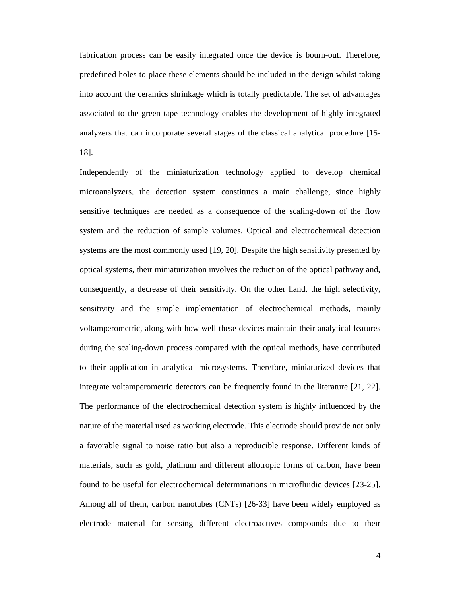fabrication process can be easily integrated once the device is bourn-out. Therefore, predefined holes to place these elements should be included in the design whilst taking into account the ceramics shrinkage which is totally predictable. The set of advantages associated to the green tape technology enables the development of highly integrated analyzers that can incorporate several stages of the classical analytical procedure [15- 18].

Independently of the miniaturization technology applied to develop chemical microanalyzers, the detection system constitutes a main challenge, since highly sensitive techniques are needed as a consequence of the scaling-down of the flow system and the reduction of sample volumes. Optical and electrochemical detection systems are the most commonly used [19, 20]. Despite the high sensitivity presented by optical systems, their miniaturization involves the reduction of the optical pathway and, consequently, a decrease of their sensitivity. On the other hand, the high selectivity, sensitivity and the simple implementation of electrochemical methods, mainly voltamperometric, along with how well these devices maintain their analytical features during the scaling-down process compared with the optical methods, have contributed to their application in analytical microsystems. Therefore, miniaturized devices that integrate voltamperometric detectors can be frequently found in the literature [21, 22]. The performance of the electrochemical detection system is highly influenced by the nature of the material used as working electrode. This electrode should provide not only a favorable signal to noise ratio but also a reproducible response. Different kinds of materials, such as gold, platinum and different allotropic forms of carbon, have been found to be useful for electrochemical determinations in microfluidic devices [23-25]. Among all of them, carbon nanotubes (CNTs) [26-33] have been widely employed as electrode material for sensing different electroactives compounds due to their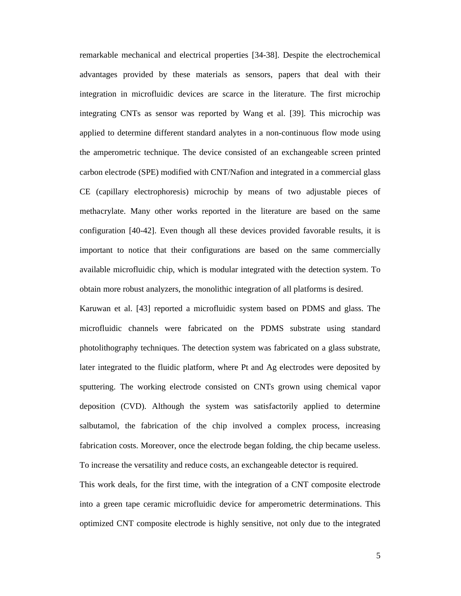remarkable mechanical and electrical properties [34-38]. Despite the electrochemical advantages provided by these materials as sensors, papers that deal with their integration in microfluidic devices are scarce in the literature. The first microchip integrating CNTs as sensor was reported by Wang et al. [39]. This microchip was applied to determine different standard analytes in a non-continuous flow mode using the amperometric technique. The device consisted of an exchangeable screen printed carbon electrode (SPE) modified with CNT/Nafion and integrated in a commercial glass CE (capillary electrophoresis) microchip by means of two adjustable pieces of methacrylate. Many other works reported in the literature are based on the same configuration [40-42]. Even though all these devices provided favorable results, it is important to notice that their configurations are based on the same commercially available microfluidic chip, which is modular integrated with the detection system. To obtain more robust analyzers, the monolithic integration of all platforms is desired.

Karuwan et al. [43] reported a microfluidic system based on PDMS and glass. The microfluidic channels were fabricated on the PDMS substrate using standard photolithography techniques. The detection system was fabricated on a glass substrate, later integrated to the fluidic platform, where Pt and Ag electrodes were deposited by sputtering. The working electrode consisted on CNTs grown using chemical vapor deposition (CVD). Although the system was satisfactorily applied to determine salbutamol, the fabrication of the chip involved a complex process, increasing fabrication costs. Moreover, once the electrode began folding, the chip became useless. To increase the versatility and reduce costs, an exchangeable detector is required.

This work deals, for the first time, with the integration of a CNT composite electrode into a green tape ceramic microfluidic device for amperometric determinations. This optimized CNT composite electrode is highly sensitive, not only due to the integrated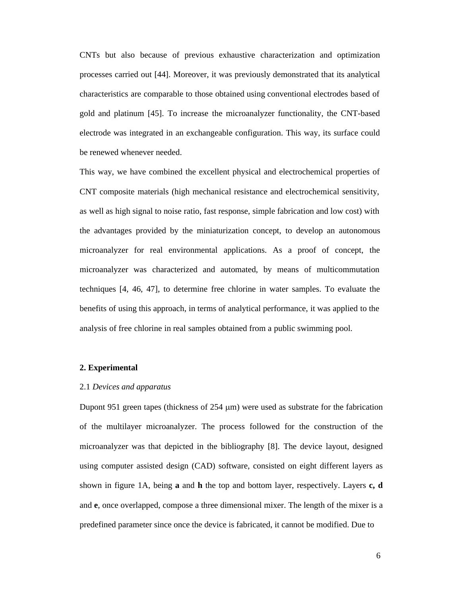CNTs but also because of previous exhaustive characterization and optimization processes carried out [44]. Moreover, it was previously demonstrated that its analytical characteristics are comparable to those obtained using conventional electrodes based of gold and platinum [45]. To increase the microanalyzer functionality, the CNT-based electrode was integrated in an exchangeable configuration. This way, its surface could be renewed whenever needed.

This way, we have combined the excellent physical and electrochemical properties of CNT composite materials (high mechanical resistance and electrochemical sensitivity, as well as high signal to noise ratio, fast response, simple fabrication and low cost) with the advantages provided by the miniaturization concept, to develop an autonomous microanalyzer for real environmental applications. As a proof of concept, the microanalyzer was characterized and automated, by means of multicommutation techniques [4, 46, 47], to determine free chlorine in water samples. To evaluate the benefits of using this approach, in terms of analytical performance, it was applied to the analysis of free chlorine in real samples obtained from a public swimming pool.

#### **2. Experimental**

#### 2.1 *Devices and apparatus*

Dupont 951 green tapes (thickness of 254 µm) were used as substrate for the fabrication of the multilayer microanalyzer. The process followed for the construction of the microanalyzer was that depicted in the bibliography [8]. The device layout, designed using computer assisted design (CAD) software, consisted on eight different layers as shown in figure 1A, being **a** and **h** the top and bottom layer, respectively. Layers **c, d** and **e**, once overlapped, compose a three dimensional mixer. The length of the mixer is a predefined parameter since once the device is fabricated, it cannot be modified. Due to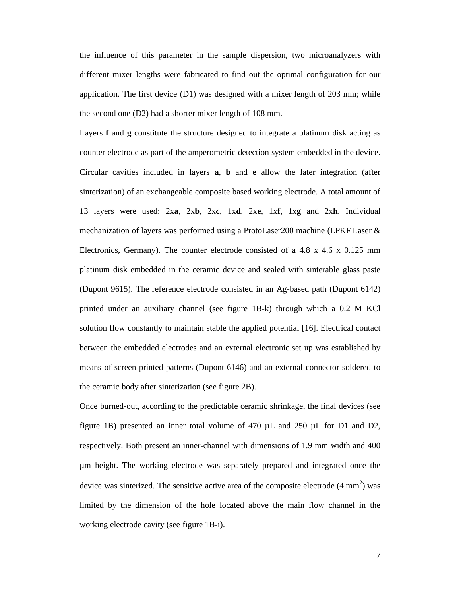the influence of this parameter in the sample dispersion, two microanalyzers with different mixer lengths were fabricated to find out the optimal configuration for our application. The first device (D1) was designed with a mixer length of 203 mm; while the second one (D2) had a shorter mixer length of 108 mm.

Layers **f** and **g** constitute the structure designed to integrate a platinum disk acting as counter electrode as part of the amperometric detection system embedded in the device. Circular cavities included in layers **a**, **b** and **e** allow the later integration (after sinterization) of an exchangeable composite based working electrode. A total amount of 13 layers were used: 2x**a**, 2x**b**, 2x**c**, 1x**d**, 2x**e**, 1x**f**, 1x**g** and 2x**h**. Individual mechanization of layers was performed using a ProtoLaser200 machine (LPKF Laser & Electronics, Germany). The counter electrode consisted of a 4.8 x 4.6 x 0.125 mm platinum disk embedded in the ceramic device and sealed with sinterable glass paste (Dupont 9615). The reference electrode consisted in an Ag-based path (Dupont 6142) printed under an auxiliary channel (see figure 1B-k) through which a 0.2 M KCl solution flow constantly to maintain stable the applied potential [16]. Electrical contact between the embedded electrodes and an external electronic set up was established by means of screen printed patterns (Dupont 6146) and an external connector soldered to the ceramic body after sinterization (see figure 2B).

Once burned-out, according to the predictable ceramic shrinkage, the final devices (see figure 1B) presented an inner total volume of 470  $\mu$ L and 250  $\mu$ L for D1 and D2, respectively. Both present an inner-channel with dimensions of 1.9 mm width and 400 m height. The working electrode was separately prepared and integrated once the device was sinterized. The sensitive active area of the composite electrode  $(4 \text{ mm}^2)$  was limited by the dimension of the hole located above the main flow channel in the working electrode cavity (see figure 1B-i).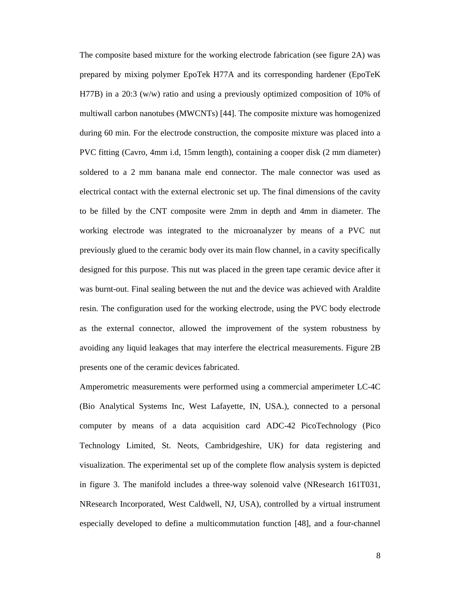The composite based mixture for the working electrode fabrication (see figure 2A) was prepared by mixing polymer EpoTek H77A and its corresponding hardener (EpoTeK H77B) in a 20:3 (w/w) ratio and using a previously optimized composition of 10% of multiwall carbon nanotubes (MWCNTs) [44]. The composite mixture was homogenized during 60 min. For the electrode construction, the composite mixture was placed into a PVC fitting (Cavro, 4mm i.d, 15mm length), containing a cooper disk (2 mm diameter) soldered to a 2 mm banana male end connector. The male connector was used as electrical contact with the external electronic set up. The final dimensions of the cavity to be filled by the CNT composite were 2mm in depth and 4mm in diameter. The working electrode was integrated to the microanalyzer by means of a PVC nut previously glued to the ceramic body over its main flow channel, in a cavity specifically designed for this purpose. This nut was placed in the green tape ceramic device after it was burnt-out. Final sealing between the nut and the device was achieved with Araldite resin. The configuration used for the working electrode, using the PVC body electrode as the external connector, allowed the improvement of the system robustness by avoiding any liquid leakages that may interfere the electrical measurements. Figure 2B presents one of the ceramic devices fabricated.

Amperometric measurements were performed using a commercial amperimeter LC-4C (Bio Analytical Systems Inc, West Lafayette, IN, USA.), connected to a personal computer by means of a data acquisition card ADC-42 PicoTechnology (Pico Technology Limited, St. Neots, Cambridgeshire, UK) for data registering and visualization. The experimental set up of the complete flow analysis system is depicted in figure 3. The manifold includes a three-way solenoid valve (NResearch 161T031, NResearch Incorporated, West Caldwell, NJ, USA), controlled by a virtual instrument especially developed to define a multicommutation function [48], and a four-channel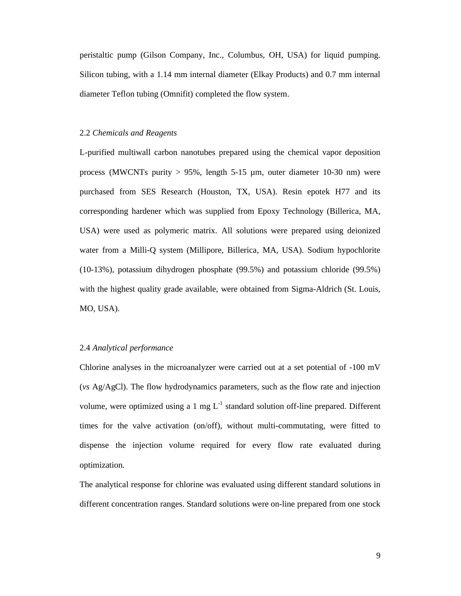peristaltic pump (Gilson Company, Inc., Columbus, OH, USA) for liquid pumping. Silicon tubing, with a 1.14 mm internal diameter (Elkay Products) and 0.7 mm internal diameter Teflon tubing (Omnifit) completed the flow system.

### 2.2 *Chemicals and Reagents*

L-purified multiwall carbon nanotubes prepared using the chemical vapor deposition process (MWCNTs purity  $> 95\%$ , length 5-15  $\mu$ m, outer diameter 10-30 nm) were purchased from SES Research (Houston, TX, USA). Resin epotek H77 and its corresponding hardener which was supplied from Epoxy Technology (Billerica, MA, USA) were used as polymeric matrix. All solutions were prepared using deionized water from a Milli-Q system (Millipore, Billerica, MA, USA). Sodium hypochlorite (10-13%), potassium dihydrogen phosphate (99.5%) and potassium chloride (99.5%) with the highest quality grade available, were obtained from Sigma-Aldrich (St. Louis, MO, USA).

# 2.4 *Analytical performance*

Chlorine analyses in the microanalyzer were carried out at a set potential of -100 mV (*vs* Ag/AgCl). The flow hydrodynamics parameters, such as the flow rate and injection volume, were optimized using a 1 mg  $L^{-1}$  standard solution off-line prepared. Different times for the valve activation (on/off), without multi-commutating, were fitted to dispense the injection volume required for every flow rate evaluated during optimization.

The analytical response for chlorine was evaluated using different standard solutions in different concentration ranges. Standard solutions were on-line prepared from one stock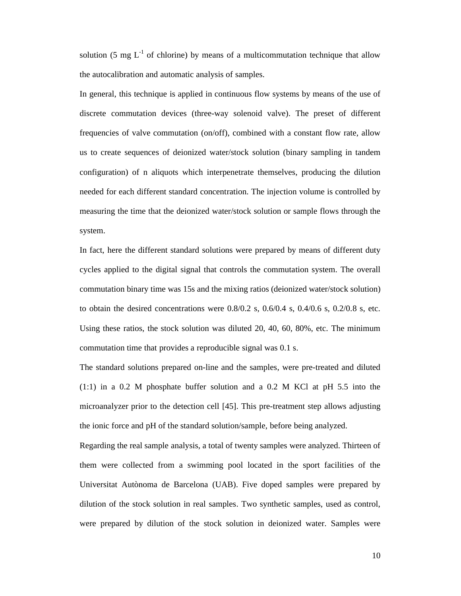solution (5 mg  $L^{-1}$  of chlorine) by means of a multicommutation technique that allow the autocalibration and automatic analysis of samples.

In general, this technique is applied in continuous flow systems by means of the use of discrete commutation devices (three-way solenoid valve). The preset of different frequencies of valve commutation (on/off), combined with a constant flow rate, allow us to create sequences of deionized water/stock solution (binary sampling in tandem configuration) of n aliquots which interpenetrate themselves, producing the dilution needed for each different standard concentration. The injection volume is controlled by measuring the time that the deionized water/stock solution or sample flows through the system.

In fact, here the different standard solutions were prepared by means of different duty cycles applied to the digital signal that controls the commutation system. The overall commutation binary time was 15s and the mixing ratios (deionized water/stock solution) to obtain the desired concentrations were  $0.8/0.2$  s,  $0.6/0.4$  s,  $0.4/0.6$  s,  $0.2/0.8$  s, etc. Using these ratios, the stock solution was diluted 20, 40, 60, 80%, etc. The minimum commutation time that provides a reproducible signal was 0.1 s.

The standard solutions prepared on-line and the samples, were pre-treated and diluted (1:1) in a 0.2 M phosphate buffer solution and a 0.2 M KCl at pH 5.5 into the microanalyzer prior to the detection cell [45]. This pre-treatment step allows adjusting the ionic force and pH of the standard solution/sample, before being analyzed.

Regarding the real sample analysis, a total of twenty samples were analyzed. Thirteen of them were collected from a swimming pool located in the sport facilities of the Universitat Autònoma de Barcelona (UAB). Five doped samples were prepared by dilution of the stock solution in real samples. Two synthetic samples, used as control, were prepared by dilution of the stock solution in deionized water. Samples were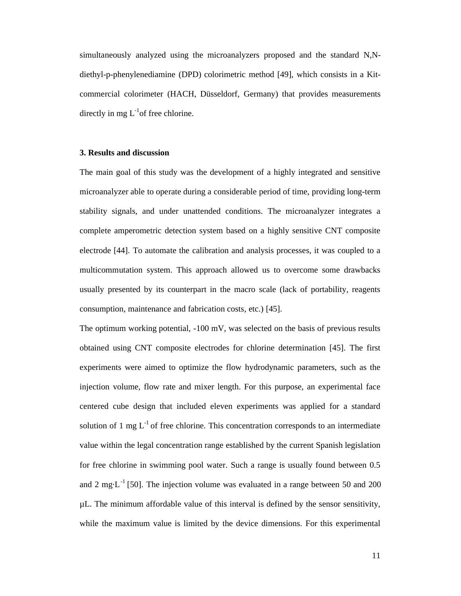simultaneously analyzed using the microanalyzers proposed and the standard N,Ndiethyl-p-phenylenediamine (DPD) colorimetric method [49], which consists in a Kitcommercial colorimeter (HACH, Düsseldorf, Germany) that provides measurements directly in mg  $L^{-1}$ of free chlorine.

# **3. Results and discussion**

The main goal of this study was the development of a highly integrated and sensitive microanalyzer able to operate during a considerable period of time, providing long-term stability signals, and under unattended conditions. The microanalyzer integrates a complete amperometric detection system based on a highly sensitive CNT composite electrode [44]. To automate the calibration and analysis processes, it was coupled to a multicommutation system. This approach allowed us to overcome some drawbacks usually presented by its counterpart in the macro scale (lack of portability, reagents consumption, maintenance and fabrication costs, etc.) [45].

The optimum working potential, -100 mV, was selected on the basis of previous results obtained using CNT composite electrodes for chlorine determination [45]. The first experiments were aimed to optimize the flow hydrodynamic parameters, such as the injection volume, flow rate and mixer length. For this purpose, an experimental face centered cube design that included eleven experiments was applied for a standard solution of 1 mg  $L^{-1}$  of free chlorine. This concentration corresponds to an intermediate value within the legal concentration range established by the current Spanish legislation for free chlorine in swimming pool water. Such a range is usually found between 0.5 and 2 mg $L^{-1}$  [50]. The injection volume was evaluated in a range between 50 and 200 µL. The minimum affordable value of this interval is defined by the sensor sensitivity, while the maximum value is limited by the device dimensions. For this experimental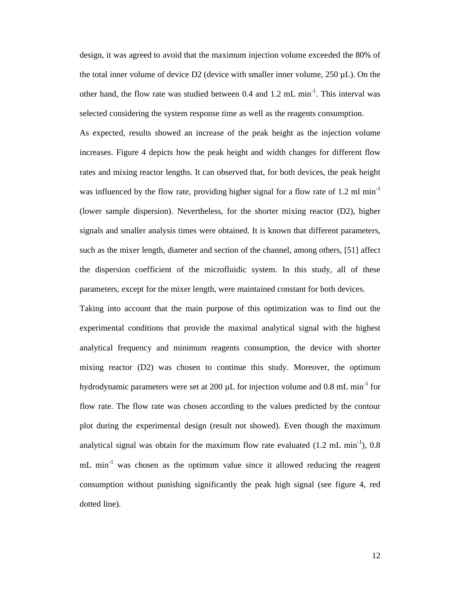design, it was agreed to avoid that the maximum injection volume exceeded the 80% of the total inner volume of device D2 (device with smaller inner volume, 250 µL). On the other hand, the flow rate was studied between 0.4 and 1.2 mL min<sup>-1</sup>. This interval was selected considering the system response time as well as the reagents consumption.

As expected, results showed an increase of the peak height as the injection volume increases. Figure 4 depicts how the peak height and width changes for different flow rates and mixing reactor lengths. It can observed that, for both devices, the peak height was influenced by the flow rate, providing higher signal for a flow rate of 1.2 ml  $min^{-1}$ (lower sample dispersion). Nevertheless, for the shorter mixing reactor (D2), higher signals and smaller analysis times were obtained. It is known that different parameters, such as the mixer length, diameter and section of the channel, among others, [51] affect the dispersion coefficient of the microfluidic system. In this study, all of these parameters, except for the mixer length, were maintained constant for both devices.

Taking into account that the main purpose of this optimization was to find out the experimental conditions that provide the maximal analytical signal with the highest analytical frequency and minimum reagents consumption, the device with shorter mixing reactor (D2) was chosen to continue this study. Moreover, the optimum hydrodynamic parameters were set at 200  $\mu$ L for injection volume and 0.8 mL min<sup>-1</sup> for flow rate. The flow rate was chosen according to the values predicted by the contour plot during the experimental design (result not showed). Even though the maximum analytical signal was obtain for the maximum flow rate evaluated  $(1.2 \text{ mL min}^{-1})$ , 0.8 mL min<sup>-1</sup> was chosen as the optimum value since it allowed reducing the reagent consumption without punishing significantly the peak high signal (see figure 4, red dotted line).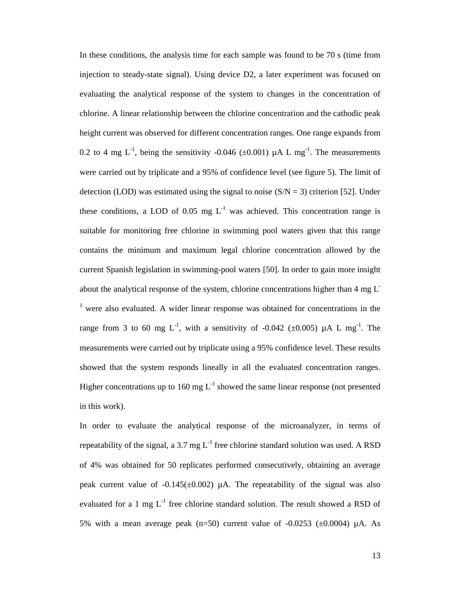In these conditions, the analysis time for each sample was found to be 70 s (time from injection to steady-state signal). Using device D2, a later experiment was focused on evaluating the analytical response of the system to changes in the concentration of chlorine. A linear relationship between the chlorine concentration and the cathodic peak height current was observed for different concentration ranges. One range expands from 0.2 to 4 mg  $L^{-1}$ , being the sensitivity -0.046 ( $\pm$ 0.001) µA L mg<sup>-1</sup>. The measurements were carried out by triplicate and a 95% of confidence level (see figure 5). The limit of detection (LOD) was estimated using the signal to noise  $(S/N = 3)$  criterion [52]. Under these conditions, a LOD of 0.05 mg  $L^{-1}$  was achieved. This concentration range is suitable for monitoring free chlorine in swimming pool waters given that this range contains the minimum and maximum legal chlorine concentration allowed by the current Spanish legislation in swimming-pool waters [50]. In order to gain more insight about the analytical response of the system, chlorine concentrations higher than 4 mg  $L^ <sup>1</sup>$  were also evaluated. A wider linear response was obtained for concentrations in the</sup> range from 3 to 60 mg L<sup>-1</sup>, with a sensitivity of -0.042 ( $\pm$ 0.005)  $\mu$ A L mg<sup>-1</sup>. The measurements were carried out by triplicate using a 95% confidence level. These results showed that the system responds lineally in all the evaluated concentration ranges. Higher concentrations up to 160 mg  $L^{-1}$  showed the same linear response (not presented in this work).

In order to evaluate the analytical response of the microanalyzer, in terms of repeatability of the signal, a 3.7 mg  $L^{-1}$  free chlorine standard solution was used. A RSD of 4% was obtained for 50 replicates performed consecutively, obtaining an average peak current value of  $-0.145(\pm 0.002)$  µA. The repeatability of the signal was also evaluated for a 1 mg  $L^{-1}$  free chlorine standard solution. The result showed a RSD of 5% with a mean average peak (n=50) current value of  $-0.0253$  ( $\pm 0.0004$ )  $\mu$ A. As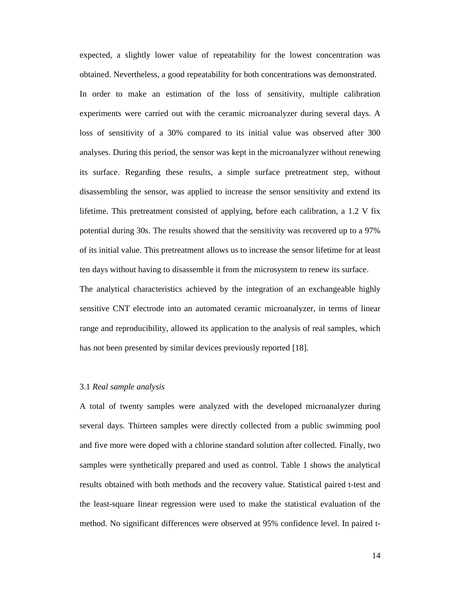expected, a slightly lower value of repeatability for the lowest concentration was obtained. Nevertheless, a good repeatability for both concentrations was demonstrated. In order to make an estimation of the loss of sensitivity, multiple calibration experiments were carried out with the ceramic microanalyzer during several days. A loss of sensitivity of a 30% compared to its initial value was observed after 300 analyses. During this period, the sensor was kept in the microanalyzer without renewing its surface. Regarding these results, a simple surface pretreatment step, without disassembling the sensor, was applied to increase the sensor sensitivity and extend its lifetime. This pretreatment consisted of applying, before each calibration, a 1.2 V fix potential during 30s. The results showed that the sensitivity was recovered up to a 97% of its initial value. This pretreatment allows us to increase the sensor lifetime for at least ten days without having to disassemble it from the microsystem to renew its surface. The analytical characteristics achieved by the integration of an exchangeable highly sensitive CNT electrode into an automated ceramic microanalyzer, in terms of linear range and reproducibility, allowed its application to the analysis of real samples, which has not been presented by similar devices previously reported [18].

### 3.1 *Real sample analysis*

A total of twenty samples were analyzed with the developed microanalyzer during several days. Thirteen samples were directly collected from a public swimming pool and five more were doped with a chlorine standard solution after collected. Finally, two samples were synthetically prepared and used as control. Table 1 shows the analytical results obtained with both methods and the recovery value. Statistical paired t-test and the least-square linear regression were used to make the statistical evaluation of the method. No significant differences were observed at 95% confidence level. In paired t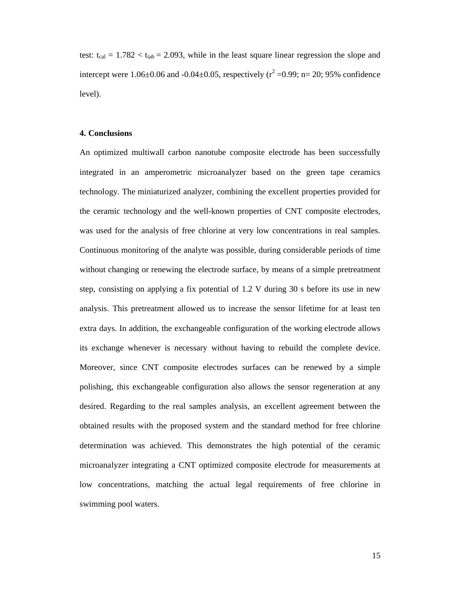test:  $t_{cal} = 1.782 < t_{tab} = 2.093$ , while in the least square linear regression the slope and intercept were 1.06 $\pm$ 0.06 and -0.04 $\pm$ 0.05, respectively ( $r^2$  =0.99; n= 20; 95% confidence level).

#### **4. Conclusions**

An optimized multiwall carbon nanotube composite electrode has been successfully integrated in an amperometric microanalyzer based on the green tape ceramics technology. The miniaturized analyzer, combining the excellent properties provided for the ceramic technology and the well-known properties of CNT composite electrodes, was used for the analysis of free chlorine at very low concentrations in real samples. Continuous monitoring of the analyte was possible, during considerable periods of time without changing or renewing the electrode surface, by means of a simple pretreatment step, consisting on applying a fix potential of 1.2 V during 30 s before its use in new analysis. This pretreatment allowed us to increase the sensor lifetime for at least ten extra days. In addition, the exchangeable configuration of the working electrode allows its exchange whenever is necessary without having to rebuild the complete device. Moreover, since CNT composite electrodes surfaces can be renewed by a simple polishing, this exchangeable configuration also allows the sensor regeneration at any desired. Regarding to the real samples analysis, an excellent agreement between the obtained results with the proposed system and the standard method for free chlorine determination was achieved. This demonstrates the high potential of the ceramic microanalyzer integrating a CNT optimized composite electrode for measurements at low concentrations, matching the actual legal requirements of free chlorine in swimming pool waters.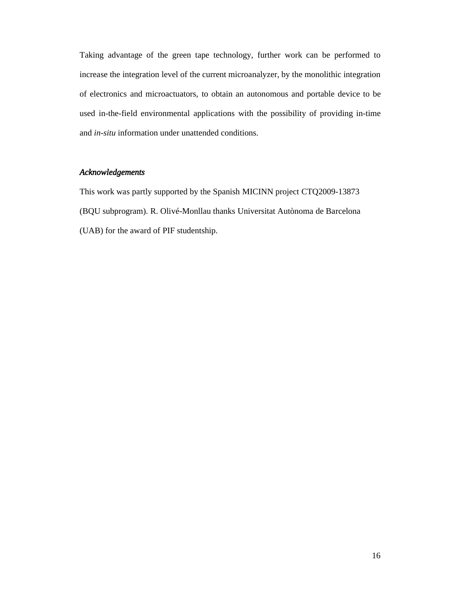Taking advantage of the green tape technology, further work can be performed to increase the integration level of the current microanalyzer, by the monolithic integration of electronics and microactuators, to obtain an autonomous and portable device to be used in-the-field environmental applications with the possibility of providing in-time and *in-situ* information under unattended conditions.

# *Acknowledgements*

This work was partly supported by the Spanish MICINN project CTQ2009-13873 (BQU subprogram). R. Olivé-Monllau thanks Universitat Autònoma de Barcelona (UAB) for the award of PIF studentship.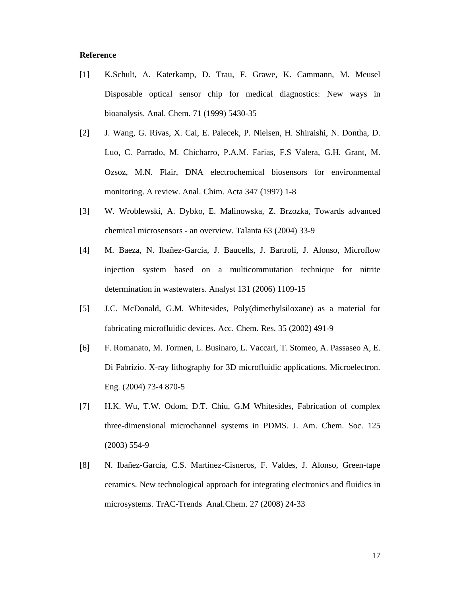# **Reference**

- [1] K.Schult, A. Katerkamp, D. Trau, F. Grawe, K. Cammann, M. Meusel Disposable optical sensor chip for medical diagnostics: New ways in bioanalysis. Anal. Chem. 71 (1999) 5430-35
- [2] J. Wang, G. Rivas, X. Cai, E. Palecek, P. Nielsen, H. Shiraishi, N. Dontha, D. Luo, C. Parrado, M. Chicharro, P.A.M. Farias, F.S Valera, G.H. Grant, M. Ozsoz, M.N. Flair, DNA electrochemical biosensors for environmental monitoring. A review. Anal. Chim. Acta 347 (1997) 1-8
- [3] W. Wroblewski, A. Dybko, E. Malinowska, Z. Brzozka, Towards advanced chemical microsensors - an overview. Talanta 63 (2004) 33-9
- [4] M. Baeza, N. Ibañez-Garcia, J. Baucells, J. Bartrolí, J. Alonso, Microflow injection system based on a multicommutation technique for nitrite determination in wastewaters. Analyst 131 (2006) 1109-15
- [5] J.C. McDonald, G.M. Whitesides, Poly(dimethylsiloxane) as a material for fabricating microfluidic devices. Acc. Chem. Res. 35 (2002) 491-9
- [6] F. Romanato, M. Tormen, L. Businaro, L. Vaccari, T. Stomeo, A. Passaseo A, E. Di Fabrizio. X-ray lithography for 3D microfluidic applications. Microelectron. Eng*.* (2004) 73-4 870-5
- [7] H.K. Wu, T.W. Odom, D.T. Chiu, G.M Whitesides, Fabrication of complex three-dimensional microchannel systems in PDMS. J. Am. Chem. Soc. 125 (2003) 554-9
- [8] N. Ibañez-Garcia, C.S. Martínez-Cisneros, F. Valdes, J. Alonso, Green-tape ceramics. New technological approach for integrating electronics and fluidics in microsystems. TrAC-Trends Anal.Chem. 27 (2008) 24-33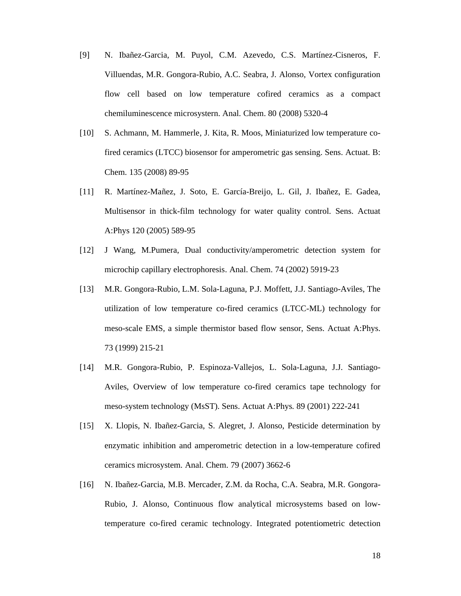- [9] N. Ibañez-Garcia, M. Puyol, C.M. Azevedo, C.S. Martínez-Cisneros, F. Villuendas, M.R. Gongora-Rubio, A.C. Seabra, J. Alonso, Vortex configuration flow cell based on low temperature cofired ceramics as a compact chemiluminescence microsystern. Anal. Chem. 80 (2008) 5320-4
- [10] S. Achmann, M. Hammerle, J. Kita, R. Moos, Miniaturized low temperature cofired ceramics (LTCC) biosensor for amperometric gas sensing. Sens. Actuat. B: Chem. 135 (2008) 89-95
- [11] R. Martínez-Mañez, J. Soto, E. García-Breijo, L. Gil, J. Ibañez, E. Gadea, Multisensor in thick-film technology for water quality control. Sens. Actuat A:Phys 120 (2005) 589-95
- [12] J Wang, M.Pumera, Dual conductivity/amperometric detection system for microchip capillary electrophoresis. Anal. Chem. 74 (2002) 5919-23
- [13] M.R. Gongora-Rubio, L.M. Sola-Laguna, P.J. Moffett, J.J. Santiago-Aviles, The utilization of low temperature co-fired ceramics (LTCC-ML) technology for meso-scale EMS, a simple thermistor based flow sensor, Sens. Actuat A:Phys. 73 (1999) 215-21
- [14] M.R. Gongora-Rubio, P. Espinoza-Vallejos, L. Sola-Laguna, J.J. Santiago-Aviles, Overview of low temperature co-fired ceramics tape technology for meso-system technology (MsST). Sens. Actuat A:Phys. 89 (2001) 222-241
- [15] X. Llopis, N. Ibañez-Garcia, S. Alegret, J. Alonso, Pesticide determination by enzymatic inhibition and amperometric detection in a low-temperature cofired ceramics microsystem. Anal. Chem. 79 (2007) 3662-6
- [16] N. Ibañez-Garcia, M.B. Mercader, Z.M. da Rocha, C.A. Seabra, M.R. Gongora-Rubio, J. Alonso, Continuous flow analytical microsystems based on lowtemperature co-fired ceramic technology. Integrated potentiometric detection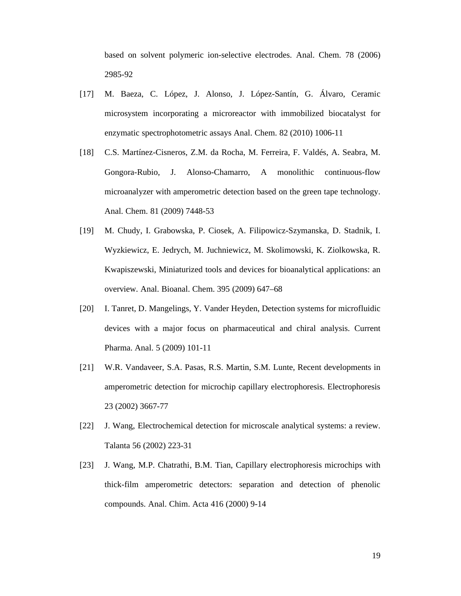based on solvent polymeric ion-selective electrodes. Anal. Chem. 78 (2006) 2985-92

- [17] M. Baeza, C. López, J. Alonso, J. López-Santín, G. Álvaro, Ceramic microsystem incorporating a microreactor with immobilized biocatalyst for enzymatic spectrophotometric assays Anal. Chem. 82 (2010) 1006-11
- [18] C.S. Martínez-Cisneros, Z.M. da Rocha, M. Ferreira, F. Valdés, A. Seabra, M. Gongora-Rubio, J. Alonso-Chamarro, A monolithic continuous-flow microanalyzer with amperometric detection based on the green tape technology. Anal. Chem. 81 (2009) 7448-53
- [19] M. Chudy, I. Grabowska, P. Ciosek, A. Filipowicz-Szymanska, D. Stadnik, I. Wyzkiewicz, E. Jedrych, M. Juchniewicz, M. Skolimowski, K. Ziolkowska, R. Kwapiszewski, Miniaturized tools and devices for bioanalytical applications: an overview. Anal. Bioanal. Chem. 395 (2009) 647–68
- [20] I. Tanret, D. Mangelings, Y. Vander Heyden, Detection systems for microfluidic devices with a major focus on pharmaceutical and chiral analysis. Current Pharma. Anal. 5 (2009) 101-11
- [21] W.R. Vandaveer, S.A. Pasas, R.S. Martin, S.M. Lunte, Recent developments in amperometric detection for microchip capillary electrophoresis. Electrophoresis 23 (2002) 3667-77
- [22] J. Wang, Electrochemical detection for microscale analytical systems: a review. Talanta 56 (2002) 223-31
- [23] J. Wang, M.P. Chatrathi, B.M. Tian, Capillary electrophoresis microchips with thick-film amperometric detectors: separation and detection of phenolic compounds. Anal. Chim. Acta 416 (2000) 9-14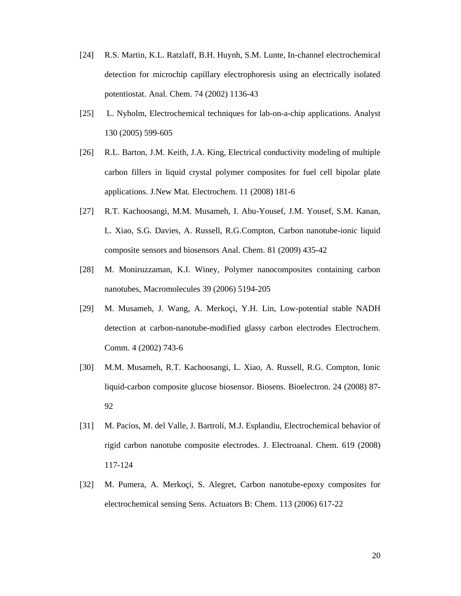- [24] R.S. Martin, K.L. Ratzlaff, B.H. Huynh, S.M. Lunte, In-channel electrochemical detection for microchip capillary electrophoresis using an electrically isolated potentiostat. Anal. Chem. 74 (2002) 1136-43
- [25] L. Nyholm, Electrochemical techniques for lab-on-a-chip applications. Analyst 130 (2005) 599-605
- [26] R.L. Barton, J.M. Keith, J.A. King, Electrical conductivity modeling of multiple carbon fillers in liquid crystal polymer composites for fuel cell bipolar plate applications. J.New Mat. Electrochem. 11 (2008) 181-6
- [27] R.T. Kachoosangi, M.M. Musameh, I. Abu-Yousef, J.M. Yousef, S.M. Kanan, L. Xiao, S.G. Davies, A. Russell, R.G.Compton, Carbon nanotube-ionic liquid composite sensors and biosensors Anal. Chem. 81 (2009) 435-42
- [28] M. Moniruzzaman, K.I. Winey, Polymer nanocomposites containing carbon nanotubes, Macromolecules 39 (2006) 5194-205
- [29] M. Musameh, J. Wang, A. Merkoçi, Y.H. Lin, Low-potential stable NADH detection at carbon-nanotube-modified glassy carbon electrodes Electrochem. Comm. 4 (2002) 743-6
- [30] M.M. Musameh, R.T. Kachoosangi, L. Xiao, A. Russell, R.G. Compton, Ionic liquid-carbon composite glucose biosensor. Biosens. Bioelectron. 24 (2008) 87- 92
- [31] M. Pacios, M. del Valle, J. Bartrolí, M.J. Esplandiu, Electrochemical behavior of rigid carbon nanotube composite electrodes. J. Electroanal. Chem. 619 (2008) 117-124
- [32] M. Pumera, A. Merkoçi, S. Alegret, Carbon nanotube-epoxy composites for electrochemical sensing Sens. Actuators B: Chem. 113 (2006) 617-22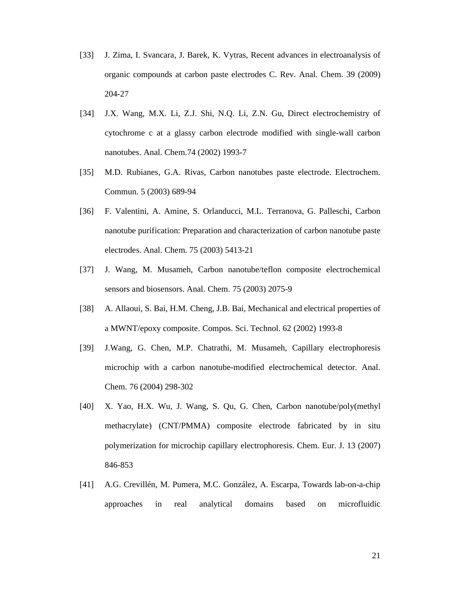- [33] J. Zima, I. Svancara, J. Barek, K. Vytras, Recent advances in electroanalysis of organic compounds at carbon paste electrodes C. Rev. Anal. Chem. 39 (2009) 204-27
- [34] J.X. Wang, M.X. Li, Z.J. Shi, N.Q. Li, Z.N. Gu, Direct electrochemistry of cytochrome c at a glassy carbon electrode modified with single-wall carbon nanotubes. Anal. Chem.74 (2002) 1993-7
- [35] M.D. Rubianes, G.A. Rivas, Carbon nanotubes paste electrode. Electrochem. Commun. 5 (2003) 689-94
- [36] F. Valentini, A. Amine, S. Orlanducci, M.L. Terranova, G. Palleschi, Carbon nanotube purification: Preparation and characterization of carbon nanotube paste electrodes. Anal. Chem. 75 (2003) 5413-21
- [37] J. Wang, M. Musameh, Carbon nanotube/teflon composite electrochemical sensors and biosensors. Anal. Chem. 75 (2003) 2075-9
- [38] A. Allaoui, S. Bai, H.M. Cheng, J.B. Bai, Mechanical and electrical properties of a MWNT/epoxy composite. Compos. Sci. Technol. 62 (2002) 1993-8
- [39] J.Wang, G. Chen, M.P. Chatrathi, M. Musameh, Capillary electrophoresis microchip with a carbon nanotube-modified electrochemical detector. Anal. Chem. 76 (2004) 298-302
- [40] X. Yao, H.X. Wu, J. Wang, S. Qu, G. Chen, Carbon nanotube/poly(methyl methacrylate) (CNT/PMMA) composite electrode fabricated by in situ polymerization for microchip capillary electrophoresis. Chem. Eur. J. 13 (2007) 846-853
- [41] A.G. Crevillén, M. Pumera, M.C. González, A. Escarpa, Towards lab-on-a-chip approaches in real analytical domains based on microfluidic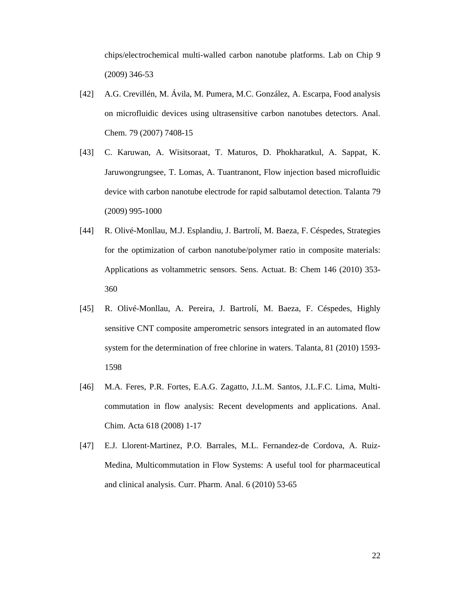chips/electrochemical multi-walled carbon nanotube platforms. Lab on Chip 9 (2009) 346-53

- [42] A.G. Crevillén, M. Ávila, M. Pumera, M.C. González, A. Escarpa, Food analysis on microfluidic devices using ultrasensitive carbon nanotubes detectors. Anal. Chem. 79 (2007) 7408-15
- [43] C. Karuwan, A. Wisitsoraat, T. Maturos, D. Phokharatkul, A. Sappat, K. Jaruwongrungsee, T. Lomas, A. Tuantranont, Flow injection based microfluidic device with carbon nanotube electrode for rapid salbutamol detection. Talanta 79 (2009) 995-1000
- [44] R. Olivé-Monllau, M.J. Esplandiu, J. Bartrolí, M. Baeza, F. Céspedes, Strategies for the optimization of carbon nanotube/polymer ratio in composite materials: Applications as voltammetric sensors. Sens. Actuat. B: Chem 146 (2010) 353- 360
- [45] R. Olivé-Monllau, A. Pereira, J. Bartrolí, M. Baeza, F. Céspedes, Highly sensitive CNT composite amperometric sensors integrated in an automated flow system for the determination of free chlorine in waters. Talanta, 81 (2010) 1593- 1598
- [46] M.A. Feres, P.R. Fortes, E.A.G. Zagatto, J.L.M. Santos, J.L.F.C. Lima, Multicommutation in flow analysis: Recent developments and applications. Anal. Chim. Acta 618 (2008) 1-17
- [47] E.J. Llorent-Martinez, P.O. Barrales, M.L. Fernandez-de Cordova, A. Ruiz-Medina, Multicommutation in Flow Systems: A useful tool for pharmaceutical and clinical analysis. Curr. Pharm. Anal. 6 (2010) 53-65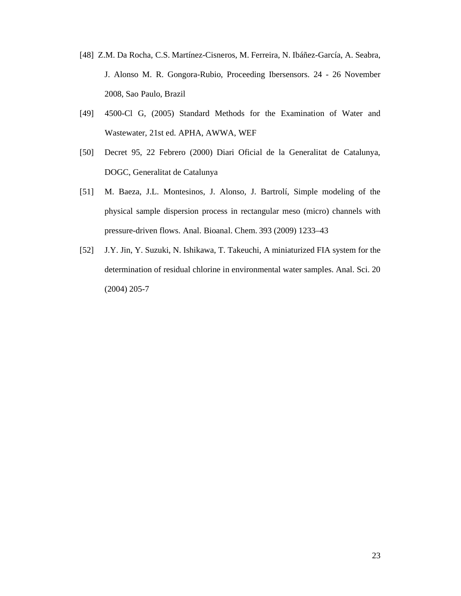- [48] Z.M. Da Rocha, C.S. Martínez-Cisneros, M. Ferreira, N. Ibáñez-García, A. Seabra, J. Alonso M. R. Gongora-Rubio, Proceeding Ibersensors. 24 - 26 November 2008, Sao Paulo, Brazil
- [49] 4500-Cl G, (2005) Standard Methods for the Examination of Water and Wastewater, 21st ed. APHA, AWWA, WEF
- [50] Decret 95, 22 Febrero (2000) Diari Oficial de la Generalitat de Catalunya, DOGC, Generalitat de Catalunya
- [51] M. Baeza, J.L. Montesinos, J. Alonso, J. Bartrolí, Simple modeling of the physical sample dispersion process in rectangular meso (micro) channels with pressure-driven flows. Anal. Bioanal. Chem. 393 (2009) 1233–43
- [52] J.Y. Jin, Y. Suzuki, N. Ishikawa, T. Takeuchi, A miniaturized FIA system for the determination of residual chlorine in environmental water samples. Anal. Sci. 20 (2004) 205-7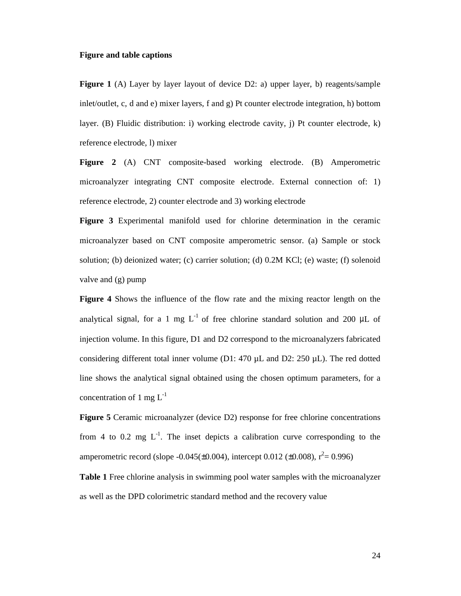#### **Figure and table captions**

**Figure 1** (A) Layer by layer layout of device D2: a) upper layer, b) reagents/sample inlet/outlet, c, d and e) mixer layers, f and g) Pt counter electrode integration, h) bottom layer. (B) Fluidic distribution: i) working electrode cavity, j) Pt counter electrode, k) reference electrode, l) mixer

**Figure 2** (A) CNT composite-based working electrode. (B) Amperometric microanalyzer integrating CNT composite electrode. External connection of: 1) reference electrode, 2) counter electrode and 3) working electrode

**Figure 3** Experimental manifold used for chlorine determination in the ceramic microanalyzer based on CNT composite amperometric sensor. (a) Sample or stock solution; (b) deionized water; (c) carrier solution; (d) 0.2M KCl; (e) waste; (f) solenoid valve and (g) pump

**Figure 4** Shows the influence of the flow rate and the mixing reactor length on the analytical signal, for a 1 mg  $L^{-1}$  of free chlorine standard solution and 200  $\mu$ L of injection volume. In this figure, D1 and D2 correspond to the microanalyzers fabricated considering different total inner volume (D1: 470  $\mu$ L and D2: 250  $\mu$ L). The red dotted line shows the analytical signal obtained using the chosen optimum parameters, for a concentration of 1 mg  $L^{-1}$ 

**Figure 5** Ceramic microanalyzer (device D2) response for free chlorine concentrations from 4 to 0.2 mg  $L^{-1}$ . The inset depicts a calibration curve corresponding to the amperometric record (slope  $-0.045(\pm 0.004)$ , intercept 0.012 ( $\pm 0.008$ ),  $r^2 = 0.996$ )

**Table 1** Free chlorine analysis in swimming pool water samples with the microanalyzer as well as the DPD colorimetric standard method and the recovery value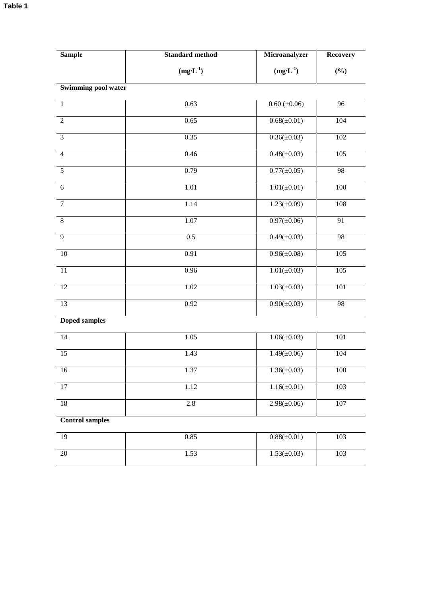| <b>Sample</b>              | <b>Standard method</b> | Microanalyzer     | <b>Recovery</b> |
|----------------------------|------------------------|-------------------|-----------------|
|                            | $(mg·L-1)$             | $(mg·L-1)$        | (%)             |
| <b>Swimming pool water</b> |                        |                   |                 |
| $\mathbf{1}$               | 0.63                   | $0.60 (\pm 0.06)$ | $\overline{96}$ |
| $\overline{2}$             | 0.65                   | $0.68(\pm 0.01)$  | 104             |
| $\overline{3}$             | 0.35                   | $0.36(\pm 0.03)$  | 102             |
| $\overline{4}$             | 0.46                   | $0.48(\pm 0.03)$  | 105             |
| 5                          | 0.79                   | $0.77(\pm 0.05)$  | 98              |
| $6\,$                      | 1.01                   | $1.01(\pm 0.01)$  | $100\,$         |
| $\tau$                     | 1.14                   | $1.23(\pm 0.09)$  | 108             |
| $\,8\,$                    | $1.07\,$               | $0.97(\pm 0.06)$  | 91              |
| 9                          | 0.5                    | $0.49(\pm 0.03)$  | 98              |
| $\overline{10}$            | 0.91                   | $0.96(\pm 0.08)$  | 105             |
| 11                         | 0.96                   | $1.01(\pm 0.03)$  | 105             |
| 12                         | 1.02                   | $1.03(\pm 0.03)$  | 101             |
| $\overline{13}$            | 0.92                   | $0.90(\pm 0.03)$  | 98              |
| <b>Doped samples</b>       |                        |                   |                 |
| 14                         | 1.05                   | $1.06(\pm 0.03)$  | 101             |
| $\overline{15}$            | 1.43                   | $1.49(\pm 0.06)$  | 104             |
| 16                         | 1.37                   | $1.36(\pm 0.03)$  | 100             |
| $\overline{17}$            | 1.12                   | $1.16(\pm 0.01)$  | 103             |
| 18                         | $2.8\,$                | $2.98(\pm 0.06)$  | $107\,$         |
| <b>Control samples</b>     |                        |                   |                 |
| 19                         | 0.85                   | $0.88(\pm 0.01)$  | 103             |

| 19 | 0.85 | $0.88(\pm 0.01)$ | 103 |
|----|------|------------------|-----|
|    |      |                  |     |
|    |      |                  |     |
| 20 | 1.53 | $1.53(\pm 0.03)$ | 103 |
|    |      |                  |     |
|    |      |                  |     |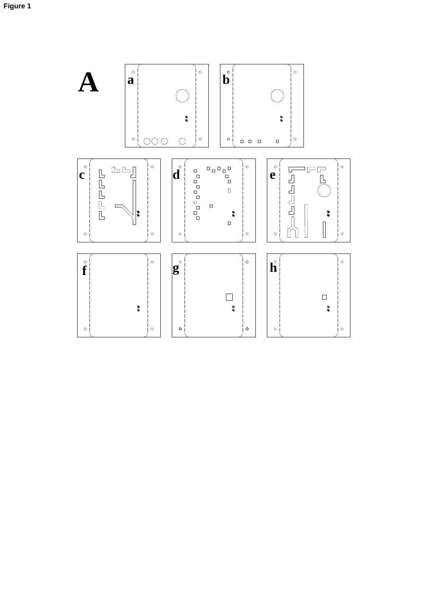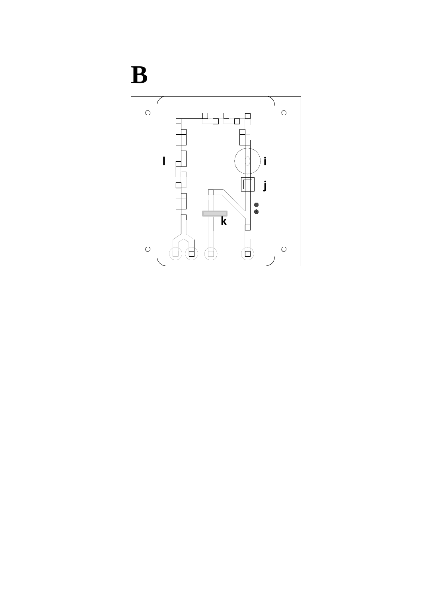# **B**

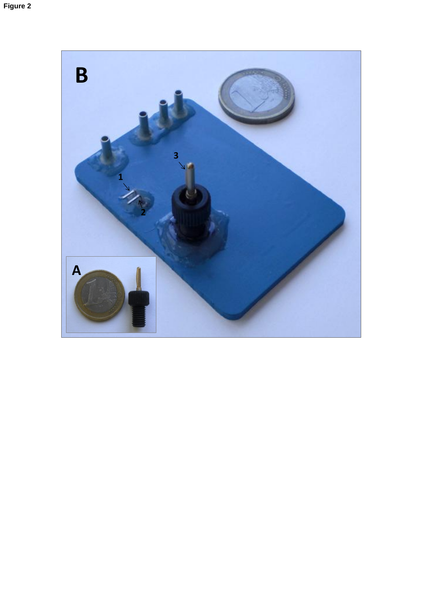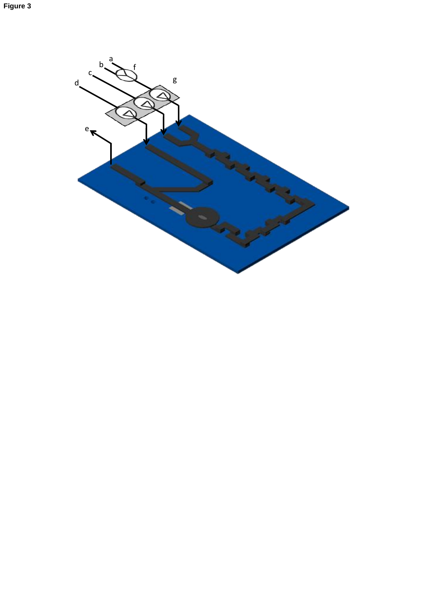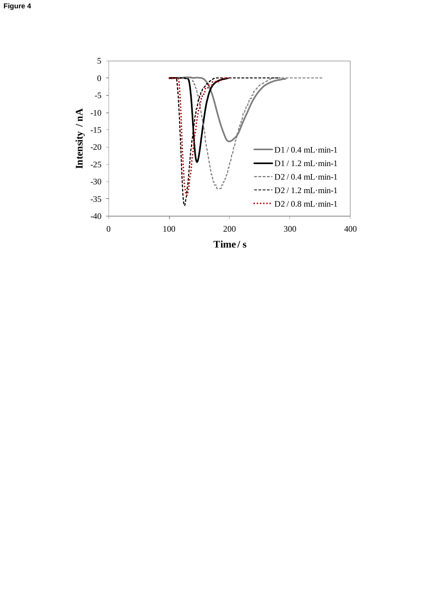